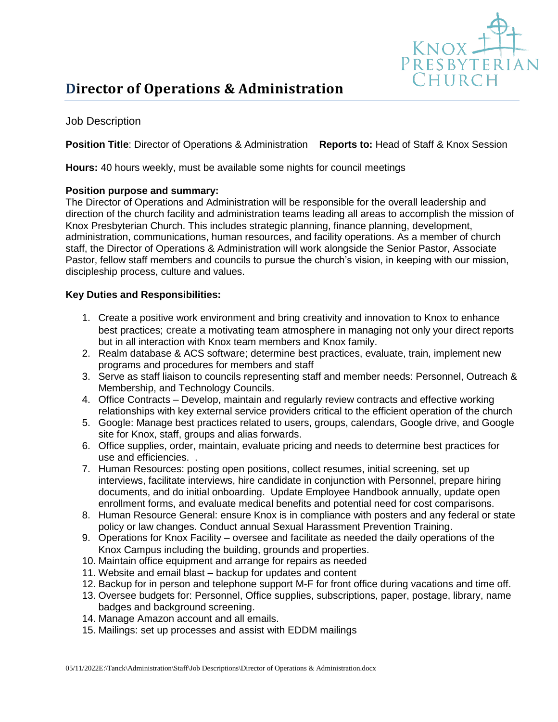

## Job Description

## **Position Title**: Director of Operations & Administration **Reports to:** Head of Staff & Knox Session

**Hours:** 40 hours weekly, must be available some nights for council meetings

## **Position purpose and summary:**

The Director of Operations and Administration will be responsible for the overall leadership and direction of the church facility and administration teams leading all areas to accomplish the mission of Knox Presbyterian Church. This includes strategic planning, finance planning, development, administration, communications, human resources, and facility operations. As a member of church staff, the Director of Operations & Administration will work alongside the Senior Pastor, Associate Pastor, fellow staff members and councils to pursue the church's vision, in keeping with our mission, discipleship process, culture and values.

## **Key Duties and Responsibilities:**

- 1. Create a positive work environment and bring creativity and innovation to Knox to enhance best practices; create a motivating team atmosphere in managing not only your direct reports but in all interaction with Knox team members and Knox family.
- 2. Realm database & ACS software; determine best practices, evaluate, train, implement new programs and procedures for members and staff
- 3. Serve as staff liaison to councils representing staff and member needs: Personnel, Outreach & Membership, and Technology Councils.
- 4. Office Contracts Develop, maintain and regularly review contracts and effective working relationships with key external service providers critical to the efficient operation of the church
- 5. Google: Manage best practices related to users, groups, calendars, Google drive, and Google site for Knox, staff, groups and alias forwards.
- 6. Office supplies, order, maintain, evaluate pricing and needs to determine best practices for use and efficiencies. .
- 7. Human Resources: posting open positions, collect resumes, initial screening, set up interviews, facilitate interviews, hire candidate in conjunction with Personnel, prepare hiring documents, and do initial onboarding. Update Employee Handbook annually, update open enrollment forms, and evaluate medical benefits and potential need for cost comparisons.
- 8. Human Resource General: ensure Knox is in compliance with posters and any federal or state policy or law changes. Conduct annual Sexual Harassment Prevention Training.
- 9. Operations for Knox Facility oversee and facilitate as needed the daily operations of the Knox Campus including the building, grounds and properties.
- 10. Maintain office equipment and arrange for repairs as needed
- 11. Website and email blast backup for updates and content
- 12. Backup for in person and telephone support M-F for front office during vacations and time off.
- 13. Oversee budgets for: Personnel, Office supplies, subscriptions, paper, postage, library, name badges and background screening.
- 14. Manage Amazon account and all emails.
- 15. Mailings: set up processes and assist with EDDM mailings